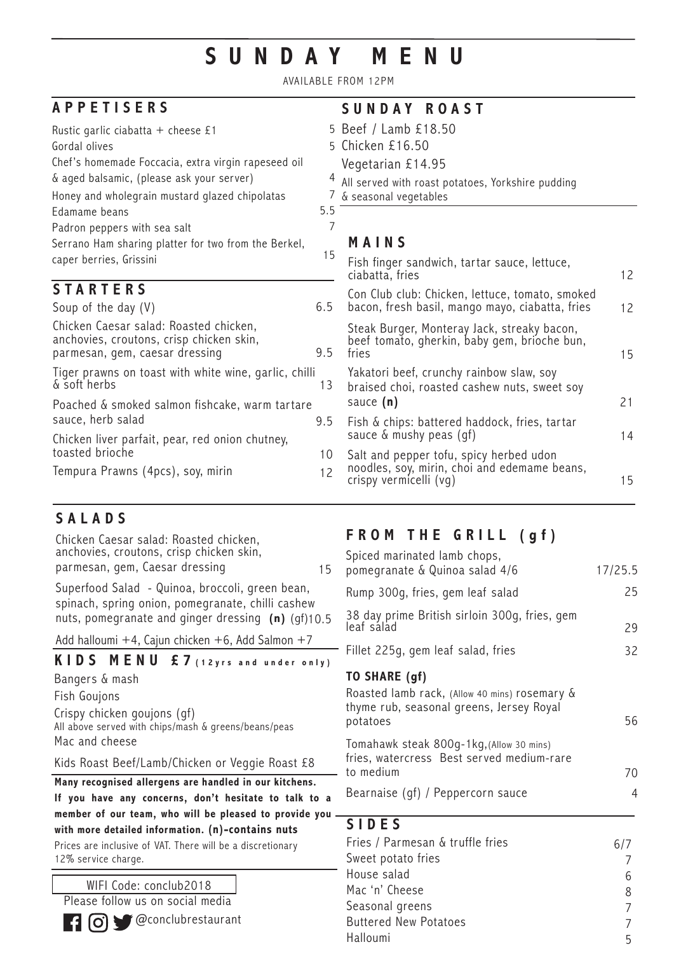# **SUNDAY MENU**

AVAILABLE FROM 12PM

| <b>APPETISERS</b>                                                                                                    |     | SUNDAY ROAST                                                                                         |    |
|----------------------------------------------------------------------------------------------------------------------|-----|------------------------------------------------------------------------------------------------------|----|
| Rustic garlic ciabatta + cheese £1                                                                                   |     | 5 Beef / Lamb £18.50                                                                                 |    |
| Gordal olives                                                                                                        |     | 5 Chicken £16.50                                                                                     |    |
| Chef's homemade Foccacia, extra virgin rapeseed oil                                                                  |     | Vegetarian £14.95                                                                                    |    |
| & aged balsamic, (please ask your server)                                                                            | 4   | All served with roast potatoes, Yorkshire pudding                                                    |    |
| Honey and wholegrain mustard glazed chipolatas                                                                       |     | & seasonal vegetables                                                                                |    |
| Edamame beans                                                                                                        | 5.5 |                                                                                                      |    |
| Padron peppers with sea salt                                                                                         | 7   |                                                                                                      |    |
| Serrano Ham sharing platter for two from the Berkel,                                                                 |     | MAINS                                                                                                |    |
| caper berries, Grissini                                                                                              | 15  | Fish finger sandwich, tartar sauce, lettuce,<br>ciabatta, fries                                      | 12 |
| <b>STARTERS</b>                                                                                                      |     | Con Club club: Chicken, lettuce, tomato, smoked                                                      |    |
| Soup of the day $(V)$                                                                                                | 6.5 | bacon, fresh basil, mango mayo, ciabatta, fries                                                      | 12 |
| Chicken Caesar salad: Roasted chicken,<br>anchovies, croutons, crisp chicken skin,<br>parmesan, gem, caesar dressing | 9.5 | Steak Burger, Monteray Jack, streaky bacon,<br>beef tomato, gherkin, baby gem, brioche bun,<br>fries | 15 |
| Tiger prawns on toast with white wine, garlic, chilli<br>& soft herbs                                                | 13  | Yakatori beef, crunchy rainbow slaw, soy<br>braised choi, roasted cashew nuts, sweet soy             |    |
| Poached & smoked salmon fishcake, warm tartare                                                                       |     | sauce $(n)$                                                                                          | 21 |
| sauce, herb salad                                                                                                    | 9.5 | Fish & chips: battered haddock, fries, tartar                                                        |    |
| Chicken liver parfait, pear, red onion chutney,                                                                      |     | sauce & mushy peas (gf)                                                                              | 14 |
| toasted brioche                                                                                                      | 10  | Salt and pepper tofu, spicy herbed udon                                                              |    |
| Tempura Prawns (4pcs), soy, mirin                                                                                    | 12  | noodles, soy, mirin, choi and edemame beans,<br>crispy vermicelli (vg)                               | 15 |

15

## **SALADS**

Chicken Caesar salad: Roasted chicken, anchovies, croutons, crisp chicken skin, parmesan, gem, Caesar dressing

nuts, pomegranate and ginger dressing **(n)** (gf)10.5 Superfood Salad - Quinoa, broccoli, green bean, spinach, spring onion, pomegranate, chilli cashew

Add halloumi  $+4$ , Cajun chicken  $+6$ , Add Salmon  $+7$ 

### **KIDS MENU £7 (12yrs and under only)**

Bangers & mash Fish Goujons Crispy chicken goujons (gf) All above served with chips/mash & greens/beans/peas Mac and cheese

Kids Roast Beef/Lamb/Chicken or Veggie Roast £8

**Many recognised allergens are handled in our kitchens. If you have any concerns, don't hesitate to talk to a member of our team, who will be pleased to provide you with more detailed information. (n)-contains nuts**

Prices are inclusive of VAT. There will be a discretionary 12% service charge.

### WIFI Code: conclub2018

Please follow us on social media



**@conclubrestaurant** 

## **FROM THE GRILL (gf)**

| Spiced marinated lamb chops,<br>pomegranate & Quinoa salad 4/6                                                         | 17/25.5 |
|------------------------------------------------------------------------------------------------------------------------|---------|
| Rump 300g, fries, gem leaf salad                                                                                       | 25      |
| 38 day prime British sirloin 300g, fries, gem<br>leaf sálad                                                            | 29      |
| Fillet 225g, gem leaf salad, fries                                                                                     | 32      |
| TO SHARE (gf)<br>Roasted lamb rack, (Allow 40 mins) rosemary &<br>thyme rub, seasonal greens, Jersey Royal<br>potatoes | 56      |
| Tomahawk steak 800g-1kg, (Allow 30 mins)<br>fries, watercress Best served medium-rare<br>to medium                     | 70      |
| Bearnaise (gf) / Peppercorn sauce                                                                                      | 4       |
|                                                                                                                        |         |

### **SIDES**

| Fries / Parmesan & truffle fries | 6/7 |
|----------------------------------|-----|
| Sweet potato fries               |     |
| House salad                      | 6   |
| Mac 'n' Cheese                   | 8   |
| Seasonal greens                  |     |
| <b>Buttered New Potatoes</b>     |     |
| Halloumi                         | ҕ   |